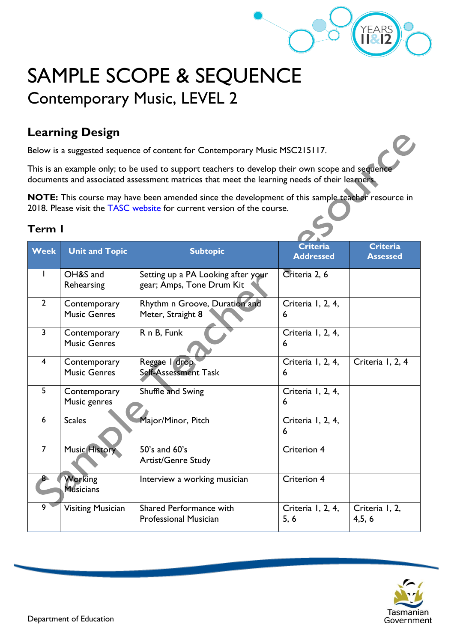

# SAMPLE SCOPE & SEQUENCE Contemporary Music, LEVEL 2

### **Learning Design**

Below is a suggested sequence of content for Contemporary Music MSC215117.

This is an example only; to be used to support teachers to develop their own scope and sequence documents and associated assessment matrices that meet the learning needs of their learners.

**NOTE:** This course may have been amended since the development of this sample teacher resource in 2018. Please visit the **TASC** website for current version of the course.

#### **Term 1**

| <b>Week</b>    | <b>Unit and Topic</b>               | <b>Subtopic</b>                                                 | <b>Criteria</b><br><b>Addressed</b> | <b>Criteria</b><br><b>Assessed</b> |
|----------------|-------------------------------------|-----------------------------------------------------------------|-------------------------------------|------------------------------------|
|                | OH&S and<br>Rehearsing              | Setting up a PA Looking after your<br>gear; Amps, Tone Drum Kit | Criteria 2, 6                       |                                    |
| $\overline{2}$ | Contemporary<br><b>Music Genres</b> | Rhythm n Groove, Duration and<br>Meter, Straight 8              | Criteria I, 2, 4,<br>6              |                                    |
| $\overline{3}$ | Contemporary<br><b>Music Genres</b> | R n B, Funk                                                     | Criteria I, 2, 4,<br>6              |                                    |
| 4              | Contemporary<br><b>Music Genres</b> | Reggae I drop<br>Self-Assessment Task                           | Criteria I, 2, 4,<br>6              | Criteria I, 2, 4                   |
| 5              | Contemporary<br>Music genres        | Shuffle and Swing                                               | Criteria 1, 2, 4,<br>6              |                                    |
| 6              | <b>Scales</b>                       | Major/Minor, Pitch                                              | Criteria I, 2, 4,<br>6              |                                    |
| $\overline{7}$ | <b>Music History</b>                | 50's and 60's<br><b>Artist/Genre Study</b>                      | <b>Criterion 4</b>                  |                                    |
|                | <b>Working</b><br><b>Musicians</b>  | Interview a working musician                                    | Criterion 4                         |                                    |
| 9              | <b>Visiting Musician</b>            | <b>Shared Performance with</b><br><b>Professional Musician</b>  | Criteria I, 2, 4,<br>5, 6           | Criteria I, 2,<br>4, 5, 6          |

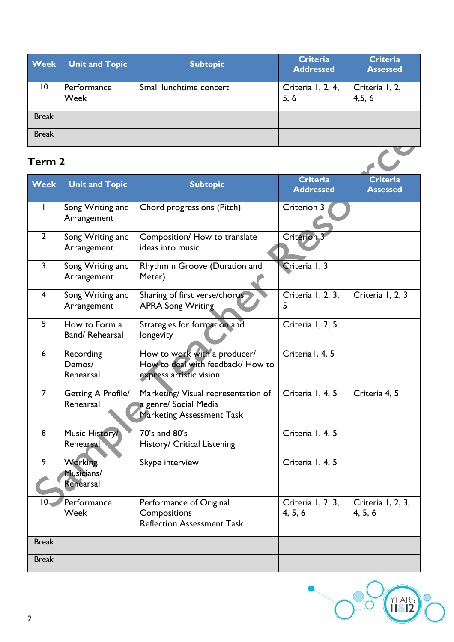| <b>Week</b>  | <b>Unit and Topic</b> | <b>Subtopic</b>         | <b>Criteria</b><br><b>Addressed</b> | <b>Criteria</b><br><b>Assessed</b> |
|--------------|-----------------------|-------------------------|-------------------------------------|------------------------------------|
| 10           | Performance<br>Week   | Small lunchtime concert | Criteria I, 2, 4,<br>5, 6           | Criteria I, 2,<br>4,5,6            |
| <b>Break</b> |                       |                         |                                     |                                    |
| <b>Break</b> |                       |                         |                                     |                                    |

### **Term 2**

| Term 2                  |                                           |                                                                                                  |                              |                              |
|-------------------------|-------------------------------------------|--------------------------------------------------------------------------------------------------|------------------------------|------------------------------|
| <b>Week</b>             | <b>Unit and Topic</b>                     | <b>Subtopic</b>                                                                                  | Criteria<br><b>Addressed</b> | Criteria<br><b>Assessed</b>  |
|                         | Song Writing and<br>Arrangement           | Chord progressions (Pitch)                                                                       | Criterion 3                  |                              |
| $\overline{2}$          | Song Writing and<br>Arrangement           | Composition/ How to translate<br>ideas into music                                                | <b>Criterion 3</b>           |                              |
| $\overline{3}$          | Song Writing and<br>Arrangement           | Rhythm n Groove (Duration and<br>Meter)                                                          | Criteria I, 3                |                              |
| $\overline{\mathbf{4}}$ | Song Writing and<br>Arrangement           | Sharing of first verse/chorus<br><b>APRA Song Writing</b>                                        | Criteria I, 2, 3,<br>5       | Criteria I, 2, 3             |
| 5                       | How to Form a<br>Band/ Rehearsal          | Strategies for formation and<br>longevity                                                        | Criteria I, 2, 5             |                              |
| 6                       | Recording<br>Demos/<br>Rehearsal          | How to work with a producer/<br>How to deal with feedback/ How to<br>express artistic vision     | Criterial, 4, 5              |                              |
| $\overline{7}$          | <b>Getting A Profile/</b><br>Rehearsal    | Marketing/ Visual representation of<br>a genre/ Social Media<br><b>Marketing Assessment Task</b> | Criteria I, 4, 5             | Criteria 4, 5                |
| 8                       | Music History/<br>Rehearsal               | 70's and 80's<br>History/ Critical Listening                                                     | Criteria 1, 4, 5             |                              |
| 9                       | <b>Working</b><br>Musicians/<br>Rehearsal | Skype interview                                                                                  | Criteria 1, 4, 5             |                              |
| $10-$                   | Performance<br>Week                       | Performance of Original<br>Compositions<br><b>Reflection Assessment Task</b>                     | Criteria I, 2, 3,<br>4, 5, 6 | Criteria I, 2, 3,<br>4, 5, 6 |
| <b>Break</b>            |                                           |                                                                                                  |                              |                              |
| <b>Break</b>            |                                           |                                                                                                  |                              |                              |



 $\mathsf{l}$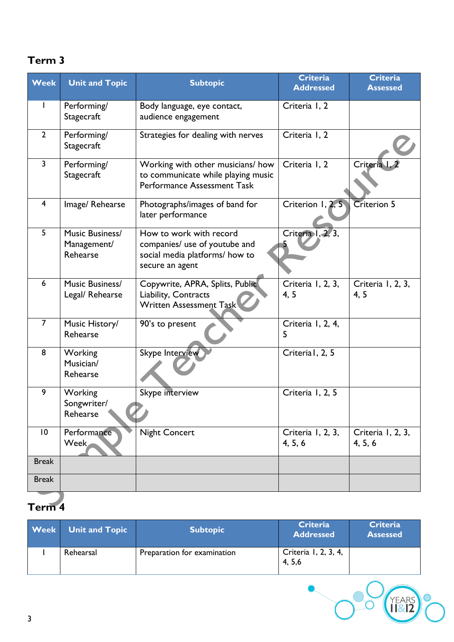#### **Term 3**

| <b>Week</b>             | <b>Unit and Topic</b>                      | <b>Subtopic</b>                                                                                               | <b>Criteria</b><br><b>Addressed</b> | <b>Criteria</b><br><b>Assessed</b> |
|-------------------------|--------------------------------------------|---------------------------------------------------------------------------------------------------------------|-------------------------------------|------------------------------------|
|                         | Performing/<br>Stagecraft                  | Body language, eye contact,<br>audience engagement                                                            | Criteria I, 2                       |                                    |
| $\overline{2}$          | Performing/<br>Stagecraft                  | Strategies for dealing with nerves                                                                            | Criteria I, 2                       |                                    |
| $\overline{\mathbf{3}}$ | Performing/<br>Stagecraft                  | Working with other musicians/how<br>to communicate while playing music<br>Performance Assessment Task         | Criteria I, 2                       | Criteria I.                        |
| $\overline{4}$          | Image/Rehearse                             | Photographs/images of band for<br>later performance                                                           | Criterion 1, 2, 5                   | <b>Criterion 5</b>                 |
| 5                       | Music Business/<br>Management/<br>Rehearse | How to work with record<br>companies/ use of youtube and<br>social media platforms/ how to<br>secure an agent | Criteria I, 2, 3,                   |                                    |
| 6                       | Music Business/<br>Legal/ Rehearse         | Copywrite, APRA, Splits, Public<br>Liability, Contracts<br>Written Assessment Task                            | Criteria I, 2, 3,<br>4, 5           | Criteria 1, 2, 3,<br>4, 5          |
| $\overline{7}$          | Music History/<br>Rehearse                 | 90's to present                                                                                               | Criteria I, 2, 4,<br>5              |                                    |
| 8                       | Working<br>Musician/<br>Rehearse           | <b>Skype Interview</b>                                                                                        | Criterial, 2, 5                     |                                    |
| 9                       | Working<br>Songwriter/<br>Rehearse         | Skype interview                                                                                               | Criteria I, 2, 5                    |                                    |
| 10                      | Performance<br><b>Week</b>                 | <b>Night Concert</b>                                                                                          | Criteria I, 2, 3,<br>4, 5, 6        | Criteria I, 2, 3,<br>4, 5, 6       |
| <b>Break</b>            |                                            |                                                                                                               |                                     |                                    |
| <b>Break</b>            |                                            |                                                                                                               |                                     |                                    |

## **Term 4**

| <b>Week</b> | <b>Unit and Topic</b> | <b>Subtopic</b>             | <b>Criteria</b><br><b>Addressed</b> | <b>Criteria</b><br><b>Assessed</b> |
|-------------|-----------------------|-----------------------------|-------------------------------------|------------------------------------|
|             | Rehearsal             | Preparation for examination | Criteria 1, 2, 3, 4,<br>4, 5, 6     |                                    |
| 3           |                       |                             |                                     | YFARS                              |